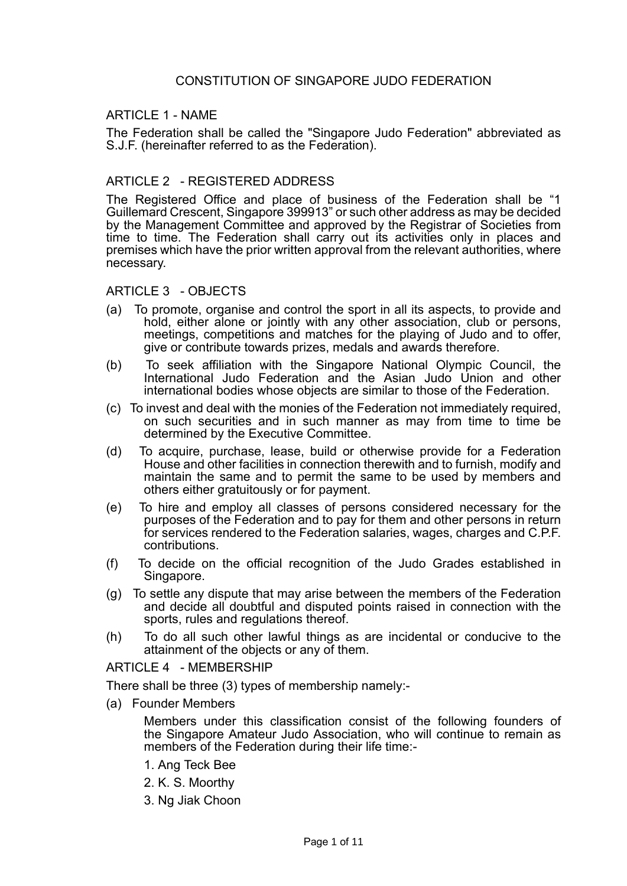### ARTICLE 1 - NAME

The Federation shall be called the "Singapore Judo Federation" abbreviated as S.J.F. (hereinafter referred to as the Federation).

## ARTICLE 2 - REGISTERED ADDRESS

The Registered Office and place of business of the Federation shall be "1 Guillemard Crescent, Singapore 399913" or such other address as may be decided by the Management Committee and approved by the Registrar of Societies from time to time. The Federation shall carry out its activities only in places and premises which have the prior written approval from the relevant authorities, where necessary.

### ARTICLE 3 - OBJECTS

- (a) To promote, organise and control the sport in all its aspects, to provide and hold, either alone or jointly with any other association, club or persons, meetings, competitions and matches for the playing of Judo and to offer, give or contribute towards prizes, medals and awards therefore.
- (b) To seek affiliation with the Singapore National Olympic Council, the International Judo Federation and the Asian Judo Union and other international bodies whose objects are similar to those of the Federation.
- (c) To invest and deal with the monies of the Federation not immediately required, on such securities and in such manner as may from time to time be determined by the Executive Committee.
- (d) To acquire, purchase, lease, build or otherwise provide for a Federation House and other facilities in connection therewith and to furnish, modify and maintain the same and to permit the same to be used by members and others either gratuitously or for payment.
- (e) To hire and employ all classes of persons considered necessary for the purposes of the Federation and to pay for them and other persons in return for services rendered to the Federation salaries, wages, charges and C.P.F. contributions.
- (f) To decide on the official recognition of the Judo Grades established in Singapore.
- (g) To settle any dispute that may arise between the members of the Federation and decide all doubtful and disputed points raised in connection with the sports, rules and regulations thereof.
- (h) To do all such other lawful things as are incidental or conducive to the attainment of the objects or any of them.

ARTICLE 4 - MEMBERSHIP

There shall be three (3) types of membership namely:-

(a) Founder Members

Members under this classification consist of the following founders of the Singapore Amateur Judo Association, who will continue to remain as members of the Federation during their life time:-

- 1. Ang Teck Bee
- 2. K. S. Moorthy
- 3. Ng Jiak Choon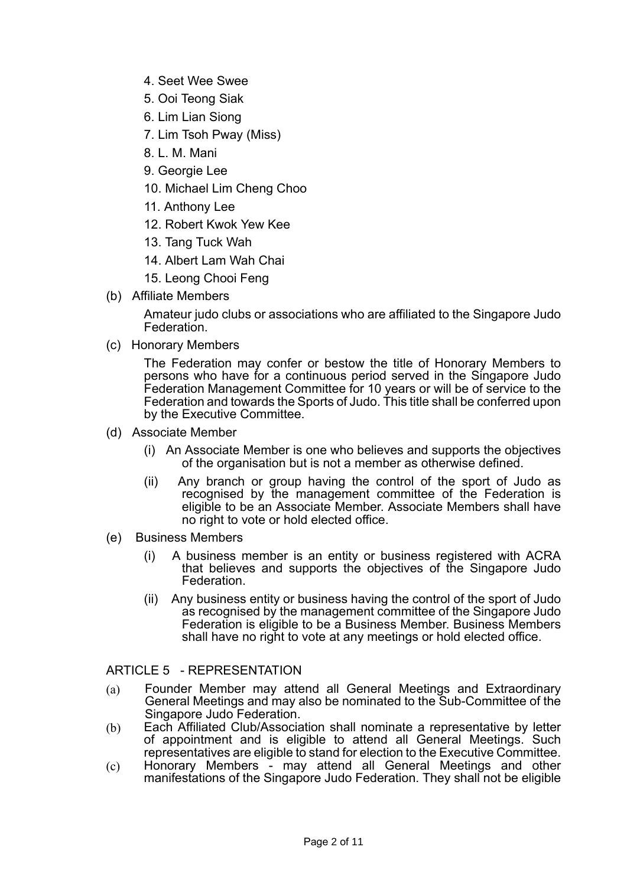- 4. Seet Wee Swee
- 5. Ooi Teong Siak
- 6. Lim Lian Siong
- 7. Lim Tsoh Pway (Miss)
- 8. L. M. Mani
- 9. Georgie Lee
- 10. Michael Lim Cheng Choo
- 11. Anthony Lee
- 12. Robert Kwok Yew Kee
- 13. Tang Tuck Wah
- 14. Albert Lam Wah Chai
- 15. Leong Chooi Feng
- (b) Affiliate Members

Amateur judo clubs or associations who are affiliated to the Singapore Judo Federation.

(c) Honorary Members

The Federation may confer or bestow the title of Honorary Members to persons who have for a continuous period served in the Singapore Judo Federation Management Committee for 10 years or will be of service to the Federation and towards the Sports of Judo. This title shall be conferred upon by the Executive Committee.

- (d) Associate Member
	- (i) An Associate Member is one who believes and supports the objectives of the organisation but is not a member as otherwise defined.
	- (ii) Any branch or group having the control of the sport of Judo as recognised by the management committee of the Federation is eligible to be an Associate Member. Associate Members shall have no right to vote or hold elected office.
- (e) Business Members
	- (i) A business member is an entity or business registered with ACRA that believes and supports the objectives of the Singapore Judo Federation.
	- (ii) Any business entity or business having the control of the sport of Judo as recognised by the management committee of the Singapore Judo Federation is eligible to be a Business Member. Business Members shall have no right to vote at any meetings or hold elected office.

ARTICLE 5 - REPRESENTATION

- (a) Founder Member may attend all General Meetings and Extraordinary General Meetings and may also be nominated to the Sub-Committee of the Singapore Judo Federation.
- (b) Each Affiliated Club/Association shall nominate a representative by letter of appointment and is eligible to attend all General Meetings. Such representatives are eligible to stand for election to the Executive Committee.
- (c) Honorary Members may attend all General Meetings and other manifestations of the Singapore Judo Federation. They shall not be eligible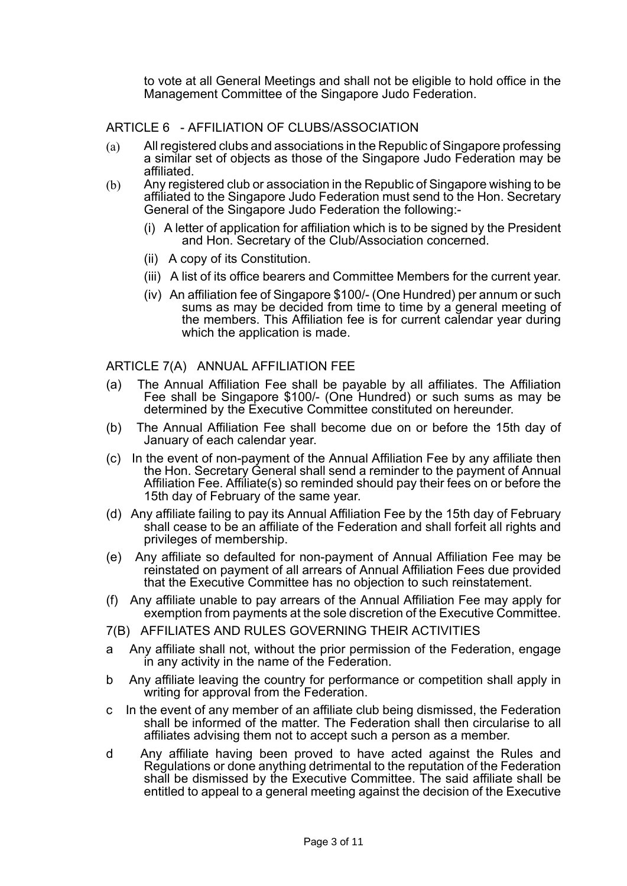to vote at all General Meetings and shall not be eligible to hold office in the Management Committee of the Singapore Judo Federation.

# ARTICLE 6 - AFFILIATION OF CLUBS/ASSOCIATION

- (a) All registered clubs and associations in the Republic of Singapore professing a similar set of objects as those of the Singapore Judo Federation may be affiliated.
- (b) Any registered club or association in the Republic of Singapore wishing to be affiliated to the Singapore Judo Federation must send to the Hon. Secretary General of the Singapore Judo Federation the following:-
	- (i) A letter of application for affiliation which is to be signed by the President and Hon. Secretary of the Club/Association concerned.
	- (ii) A copy of its Constitution.
	- (iii) A list of its office bearers and Committee Members for the current year.
	- (iv) An affiliation fee of Singapore \$100/- (One Hundred) per annum or such sums as may be decided from time to time by a general meeting of the members. This Affiliation fee is for current calendar year during which the application is made.

ARTICLE 7(A) ANNUAL AFFILIATION FEE

- (a) The Annual Affiliation Fee shall be payable by all affiliates. The Affiliation Fee shall be Singapore \$100/- (One Hundred) or such sums as may be determined by the Executive Committee constituted on hereunder.
- (b) The Annual Affiliation Fee shall become due on or before the 15th day of January of each calendar year.
- (c) In the event of non-payment of the Annual Affiliation Fee by any affiliate then the Hon. Secretary General shall send a reminder to the payment of Annual Affiliation Fee. Affiliate(s) so reminded should pay their fees on or before the 15th day of February of the same year.
- (d) Any affiliate failing to pay its Annual Affiliation Fee by the 15th day of February shall cease to be an affiliate of the Federation and shall forfeit all rights and privileges of membership.
- (e) Any affiliate so defaulted for non-payment of Annual Affiliation Fee may be reinstated on payment of all arrears of Annual Affiliation Fees due provided that the Executive Committee has no objection to such reinstatement.
- (f) Any affiliate unable to pay arrears of the Annual Affiliation Fee may apply for exemption from payments at the sole discretion of the Executive Committee.
- 7(B) AFFILIATES AND RULES GOVERNING THEIR ACTIVITIES
- a Any affiliate shall not, without the prior permission of the Federation, engage in any activity in the name of the Federation.
- b Any affiliate leaving the country for performance or competition shall apply in writing for approval from the Federation.
- c In the event of any member of an affiliate club being dismissed, the Federation shall be informed of the matter. The Federation shall then circularise to all affiliates advising them not to accept such a person as a member.
- d Any affiliate having been proved to have acted against the Rules and Regulations or done anything detrimental to the reputation of the Federation shall be dismissed by the Executive Committee. The said affiliate shall be entitled to appeal to a general meeting against the decision of the Executive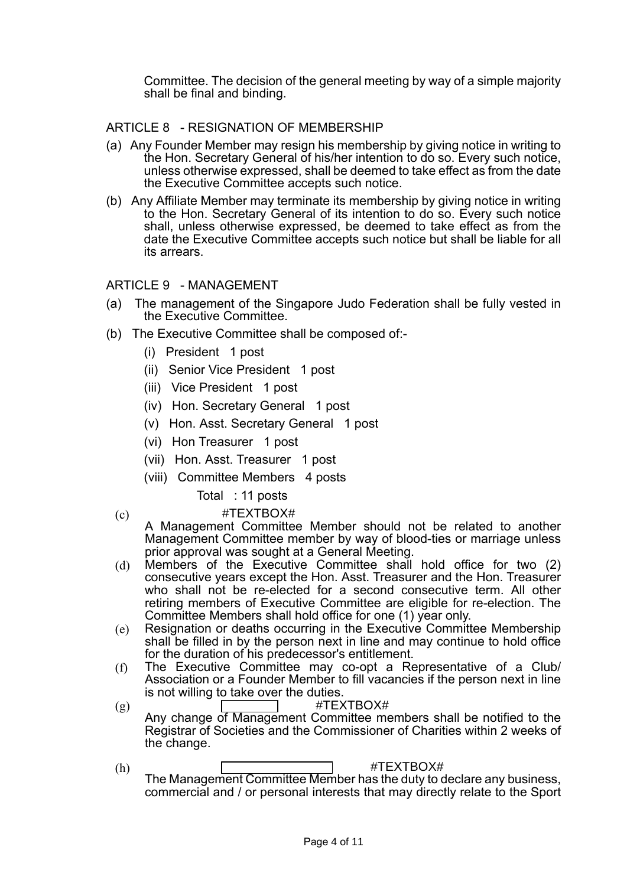Committee. The decision of the general meeting by way of a simple majority shall be final and binding.

# ARTICLE 8 - RESIGNATION OF MEMBERSHIP

- (a) Any Founder Member may resign his membership by giving notice in writing to the Hon. Secretary General of his/her intention to do so. Every such notice, unless otherwise expressed, shall be deemed to take effect as from the date the Executive Committee accepts such notice.
- (b) Any Affiliate Member may terminate its membership by giving notice in writing to the Hon. Secretary General of its intention to do so. Every such notice shall, unless otherwise expressed, be deemed to take effect as from the date the Executive Committee accepts such notice but shall be liable for all its arrears.

### ARTICLE 9 - MANAGEMENT

- (a) The management of the Singapore Judo Federation shall be fully vested in the Executive Committee.
- (b) The Executive Committee shall be composed of:-
	- (i) President 1 post
	- (ii) Senior Vice President 1 post
	- (iii) Vice President 1 post
	- (iv) Hon. Secretary General 1 post
	- (v) Hon. Asst. Secretary General 1 post
	- (vi) Hon Treasurer 1 post
	- (vii) Hon. Asst. Treasurer 1 post
	- (viii) Committee Members 4 posts

### Total : 11 posts

- 
- (c) #TEXTBOX#
	- A Management Committee Member should not be related to another Management Committee member by way of blood-ties or marriage unless prior approval was sought at a General Meeting.
- (d) Members of the Executive Committee shall hold office for two (2) consecutive years except the Hon. Asst. Treasurer and the Hon. Treasurer who shall not be re-elected for a second consecutive term. All other retiring members of Executive Committee are eligible for re-election. The Committee Members shall hold office for one (1) year only.
- (e) Resignation or deaths occurring in the Executive Committee Membership shall be filled in by the person next in line and may continue to hold office for the duration of his predecessor's entitlement.
- (f) The Executive Committee may co-opt a Representative of a Club/ Association or a Founder Member to fill vacancies if the person next in line is not willing to take over the duties.
- $(g)$  #TEXTBOX# Any change of Management Committee members shall be notified to the Registrar of Societies and the Commissioner of Charities within 2 weeks of the change.
- (h) #TEXTBOX# The Management Committee Member has the duty to declare any business, commercial and / or personal interests that may directly relate to the Sport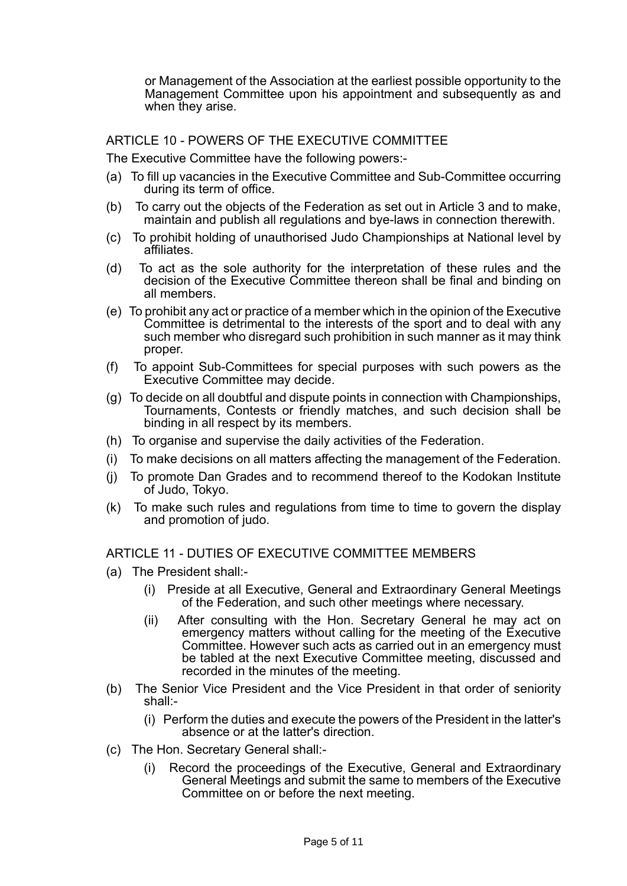or Management of the Association at the earliest possible opportunity to the Management Committee upon his appointment and subsequently as and when they arise.

ARTICLE 10 - POWERS OF THE EXECUTIVE COMMITTEE

The Executive Committee have the following powers:-

- (a) To fill up vacancies in the Executive Committee and Sub-Committee occurring during its term of office.
- (b) To carry out the objects of the Federation as set out in Article 3 and to make, maintain and publish all regulations and bye-laws in connection therewith.
- (c) To prohibit holding of unauthorised Judo Championships at National level by affiliates.
- (d) To act as the sole authority for the interpretation of these rules and the decision of the Executive Committee thereon shall be final and binding on all members.
- (e) To prohibit any act or practice of a member which in the opinion of the Executive Committee is detrimental to the interests of the sport and to deal with any such member who disregard such prohibition in such manner as it may think proper.
- (f) To appoint Sub-Committees for special purposes with such powers as the Executive Committee may decide.
- (g) To decide on all doubtful and dispute points in connection with Championships, Tournaments, Contests or friendly matches, and such decision shall be binding in all respect by its members.
- (h) To organise and supervise the daily activities of the Federation.
- (i) To make decisions on all matters affecting the management of the Federation.
- (j) To promote Dan Grades and to recommend thereof to the Kodokan Institute of Judo, Tokyo.
- (k) To make such rules and regulations from time to time to govern the display and promotion of judo.

### ARTICLE 11 - DUTIES OF EXECUTIVE COMMITTEE MEMBERS

- (a) The President shall:-
	- (i) Preside at all Executive, General and Extraordinary General Meetings of the Federation, and such other meetings where necessary.
	- (ii) After consulting with the Hon. Secretary General he may act on emergency matters without calling for the meeting of the Executive Committee. However such acts as carried out in an emergency must be tabled at the next Executive Committee meeting, discussed and recorded in the minutes of the meeting.
- (b) The Senior Vice President and the Vice President in that order of seniority shall:-
	- (i) Perform the duties and execute the powers of the President in the latter's absence or at the latter's direction.
- (c) The Hon. Secretary General shall:-
	- (i) Record the proceedings of the Executive, General and Extraordinary General Meetings and submit the same to members of the Executive Committee on or before the next meeting.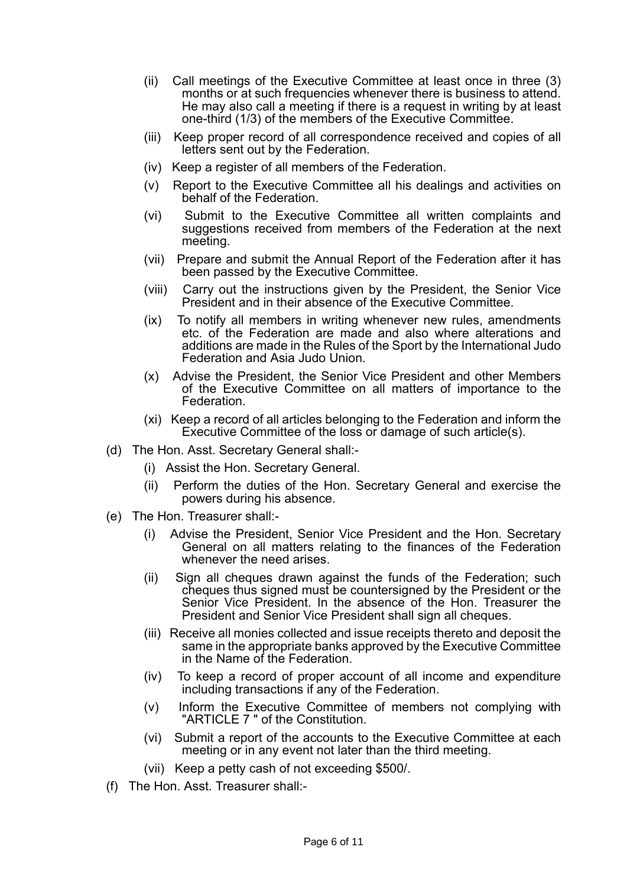- (ii) Call meetings of the Executive Committee at least once in three (3) months or at such frequencies whenever there is business to attend. He may also call a meeting if there is a request in writing by at least one-third (1/3) of the members of the Executive Committee.
- (iii) Keep proper record of all correspondence received and copies of all letters sent out by the Federation.
- (iv) Keep a register of all members of the Federation.
- (v) Report to the Executive Committee all his dealings and activities on behalf of the Federation.
- (vi) Submit to the Executive Committee all written complaints and suggestions received from members of the Federation at the next meeting.
- (vii) Prepare and submit the Annual Report of the Federation after it has been passed by the Executive Committee.
- (viii) Carry out the instructions given by the President, the Senior Vice President and in their absence of the Executive Committee.
- (ix) To notify all members in writing whenever new rules, amendments etc. of the Federation are made and also where alterations and additions are made in the Rules of the Sport by the International Judo Federation and Asia Judo Union.
- (x) Advise the President, the Senior Vice President and other Members of the Executive Committee on all matters of importance to the Federation.
- (xi) Keep a record of all articles belonging to the Federation and inform the Executive Committee of the loss or damage of such article(s).
- (d) The Hon. Asst. Secretary General shall:-
	- (i) Assist the Hon. Secretary General.
	- (ii) Perform the duties of the Hon. Secretary General and exercise the powers during his absence.
- (e) The Hon. Treasurer shall:-
	- (i) Advise the President, Senior Vice President and the Hon. Secretary General on all matters relating to the finances of the Federation whenever the need arises.
	- (ii) Sign all cheques drawn against the funds of the Federation; such cheques thus signed must be countersigned by the President or the Senior Vice President. In the absence of the Hon. Treasurer the President and Senior Vice President shall sign all cheques.
	- (iii) Receive all monies collected and issue receipts thereto and deposit the same in the appropriate banks approved by the Executive Committee in the Name of the Federation.
	- (iv) To keep a record of proper account of all income and expenditure including transactions if any of the Federation.
	- (v) Inform the Executive Committee of members not complying with "ARTICLE 7 " of the Constitution.
	- (vi) Submit a report of the accounts to the Executive Committee at each meeting or in any event not later than the third meeting.
	- (vii) Keep a petty cash of not exceeding \$500/.
- (f) The Hon. Asst. Treasurer shall:-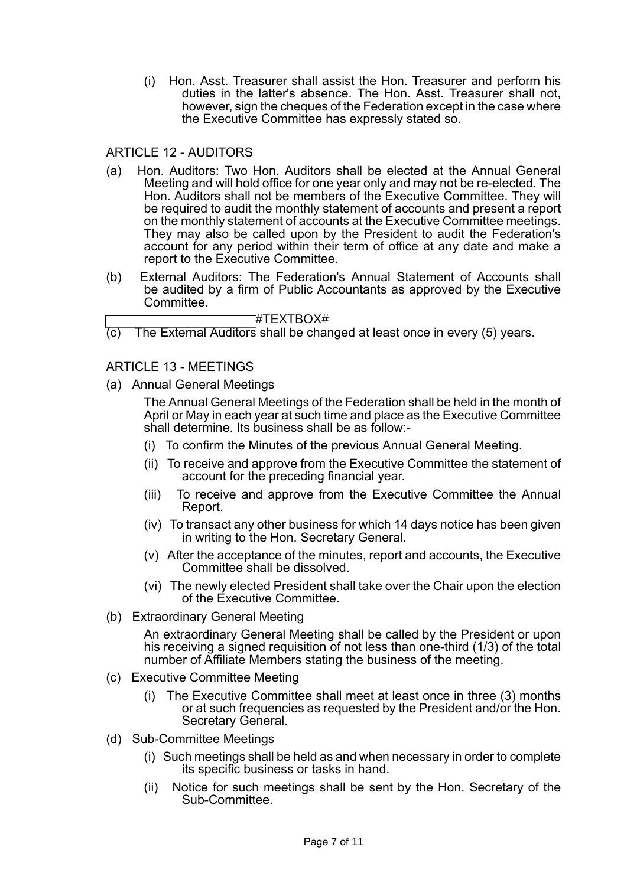(i) Hon. Asst. Treasurer shall assist the Hon. Treasurer and perform his duties in the latter's absence. The Hon. Asst. Treasurer shall not, however, sign the cheques of the Federation except in the case where the Executive Committee has expressly stated so.

## ARTICLE 12 - AUDITORS

- (a) Hon. Auditors: Two Hon. Auditors shall be elected at the Annual General Meeting and will hold office for one year only and may not be re-elected. The Hon. Auditors shall not be members of the Executive Committee. They will be required to audit the monthly statement of accounts and present a report on the monthly statement of accounts at the Executive Committee meetings. They may also be called upon by the President to audit the Federation's account for any period within their term of office at any date and make a report to the Executive Committee.
- (b) External Auditors: The Federation's Annual Statement of Accounts shall be audited by a firm of Public Accountants as approved by the Executive Committee.

#### #TEXTBOX#

(c) The External Auditors shall be changed at least once in every (5) years.

### ARTICLE 13 - MEETINGS

(a) Annual General Meetings

The Annual General Meetings of the Federation shall be held in the month of April or May in each year at such time and place as the Executive Committee shall determine. Its business shall be as follow:-

- (i) To confirm the Minutes of the previous Annual General Meeting.
- (ii) To receive and approve from the Executive Committee the statement of account for the preceding financial year.
- (iii) To receive and approve from the Executive Committee the Annual Report.
- (iv) To transact any other business for which 14 days notice has been given in writing to the Hon. Secretary General.
- (v) After the acceptance of the minutes, report and accounts, the Executive Committee shall be dissolved.
- (vi) The newly elected President shall take over the Chair upon the election of the Executive Committee.
- (b) Extraordinary General Meeting

An extraordinary General Meeting shall be called by the President or upon his receiving a signed requisition of not less than one-third (1/3) of the total number of Affiliate Members stating the business of the meeting.

- (c) Executive Committee Meeting
	- (i) The Executive Committee shall meet at least once in three (3) months or at such frequencies as requested by the President and/or the Hon. Secretary General.
- (d) Sub-Committee Meetings
	- (i) Such meetings shall be held as and when necessary in order to complete its specific business or tasks in hand.
	- (ii) Notice for such meetings shall be sent by the Hon. Secretary of the Sub-Committee.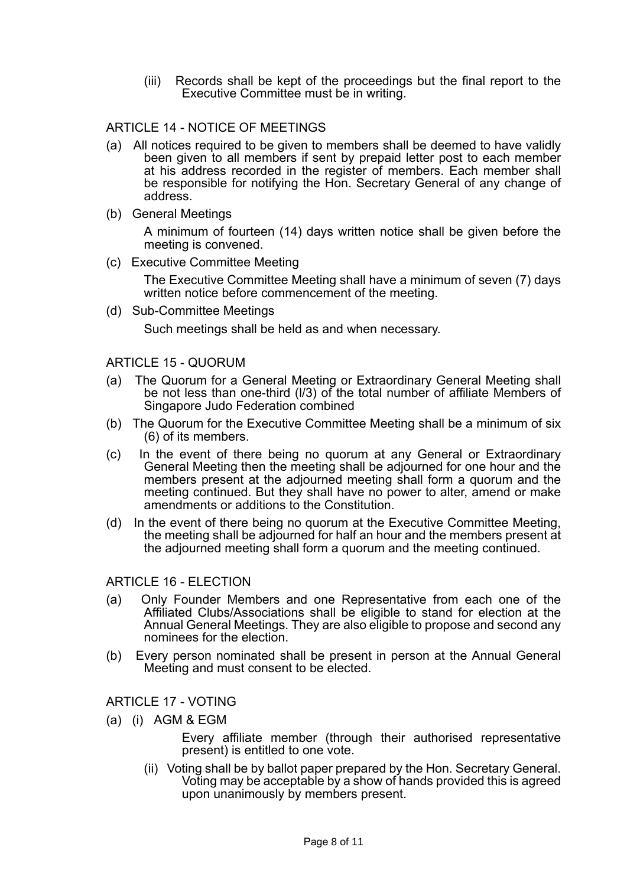(iii) Records shall be kept of the proceedings but the final report to the Executive Committee must be in writing.

## ARTICLE 14 - NOTICE OF MEETINGS

- (a) All notices required to be given to members shall be deemed to have validly been given to all members if sent by prepaid letter post to each member at his address recorded in the register of members. Each member shall be responsible for notifying the Hon. Secretary General of any change of address.
- (b) General Meetings A minimum of fourteen (14) days written notice shall be given before the meeting is convened.
- (c) Executive Committee Meeting

The Executive Committee Meeting shall have a minimum of seven (7) days written notice before commencement of the meeting.

(d) Sub-Committee Meetings Such meetings shall be held as and when necessary.

#### ARTICLE 15 - QUORUM

- (a) The Quorum for a General Meeting or Extraordinary General Meeting shall be not less than one-third (l/3) of the total number of affiliate Members of Singapore Judo Federation combined
- (b) The Quorum for the Executive Committee Meeting shall be a minimum of six (6) of its members.
- (c) In the event of there being no quorum at any General or Extraordinary General Meeting then the meeting shall be adjourned for one hour and the members present at the adjourned meeting shall form a quorum and the meeting continued. But they shall have no power to alter, amend or make amendments or additions to the Constitution.
- (d) In the event of there being no quorum at the Executive Committee Meeting, the meeting shall be adjourned for half an hour and the members present at the adjourned meeting shall form a quorum and the meeting continued.

ARTICLE 16 - ELECTION

- (a) Only Founder Members and one Representative from each one of the Affiliated Clubs/Associations shall be eligible to stand for election at the Annual General Meetings. They are also eligible to propose and second any nominees for the election.
- (b) Every person nominated shall be present in person at the Annual General Meeting and must consent to be elected.

#### ARTICLE 17 - VOTING

- (a) (i) AGM & EGM
	- Every affiliate member (through their authorised representative present) is entitled to one vote.
	- (ii) Voting shall be by ballot paper prepared by the Hon. Secretary General. Voting may be acceptable by a show of hands provided this is agreed upon unanimously by members present.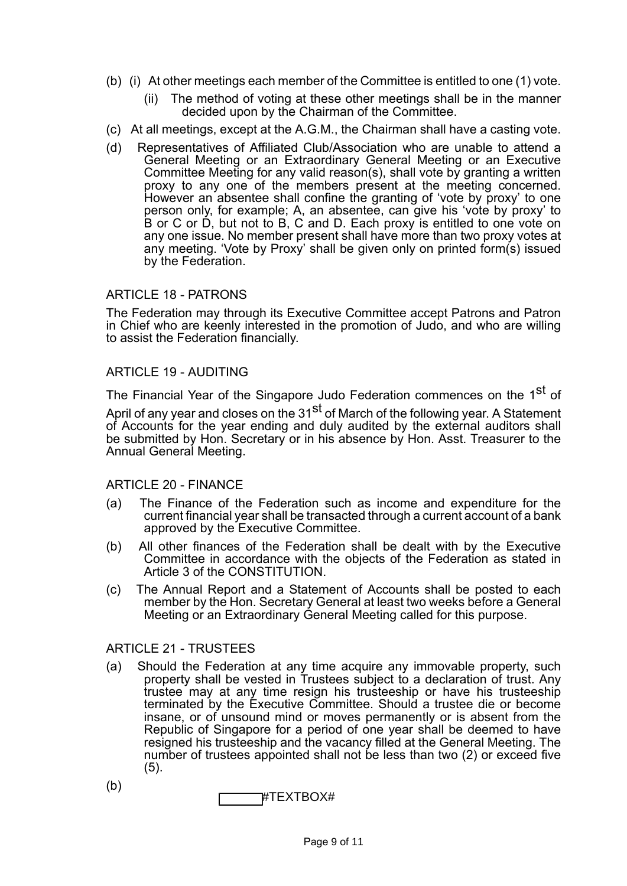- (b) (i) At other meetings each member of the Committee is entitled to one (1) vote.
	- (ii) The method of voting at these other meetings shall be in the manner decided upon by the Chairman of the Committee.
- (c) At all meetings, except at the A.G.M., the Chairman shall have a casting vote.
- (d) Representatives of Affiliated Club/Association who are unable to attend a General Meeting or an Extraordinary General Meeting or an Executive Committee Meeting for any valid reason(s), shall vote by granting a written proxy to any one of the members present at the meeting concerned. However an absentee shall confine the granting of 'vote by proxy' to one person only, for example; A, an absentee, can give his 'vote by proxy' to B or C or D, but not to B, C and D. Each proxy is entitled to one vote on any one issue. No member present shall have more than two proxy votes at any meeting. 'Vote by Proxy' shall be given only on printed form(s) issued by the Federation.

### ARTICLE 18 - PATRONS

The Federation may through its Executive Committee accept Patrons and Patron in Chief who are keenly interested in the promotion of Judo, and who are willing to assist the Federation financially.

#### ARTICLE 19 - AUDITING

The Financial Year of the Singapore Judo Federation commences on the 1<sup>st</sup> of

April of any year and closes on the 31<sup>st</sup> of March of the following year. A Statement of Accounts for the year ending and duly audited by the external auditors shall be submitted by Hon. Secretary or in his absence by Hon. Asst. Treasurer to the Annual General Meeting.

### ARTICLE 20 - FINANCE

- (a) The Finance of the Federation such as income and expenditure for the current financial year shall be transacted through a current account of a bank approved by the Executive Committee.
- (b) All other finances of the Federation shall be dealt with by the Executive Committee in accordance with the objects of the Federation as stated in Article 3 of the CONSTITUTION.
- (c) The Annual Report and a Statement of Accounts shall be posted to each member by the Hon. Secretary General at least two weeks before a General Meeting or an Extraordinary General Meeting called for this purpose.

### ARTICLE 21 - TRUSTEES

- (a) Should the Federation at any time acquire any immovable property, such property shall be vested in Trustees subject to a declaration of trust. Any trustee may at any time resign his trusteeship or have his trusteeship terminated by the Executive Committee. Should a trustee die or become insane, or of unsound mind or moves permanently or is absent from the Republic of Singapore for a period of one year shall be deemed to have resigned his trusteeship and the vacancy filled at the General Meeting. The number of trustees appointed shall not be less than two (2) or exceed five (5).
- (b) #TEXTBOX#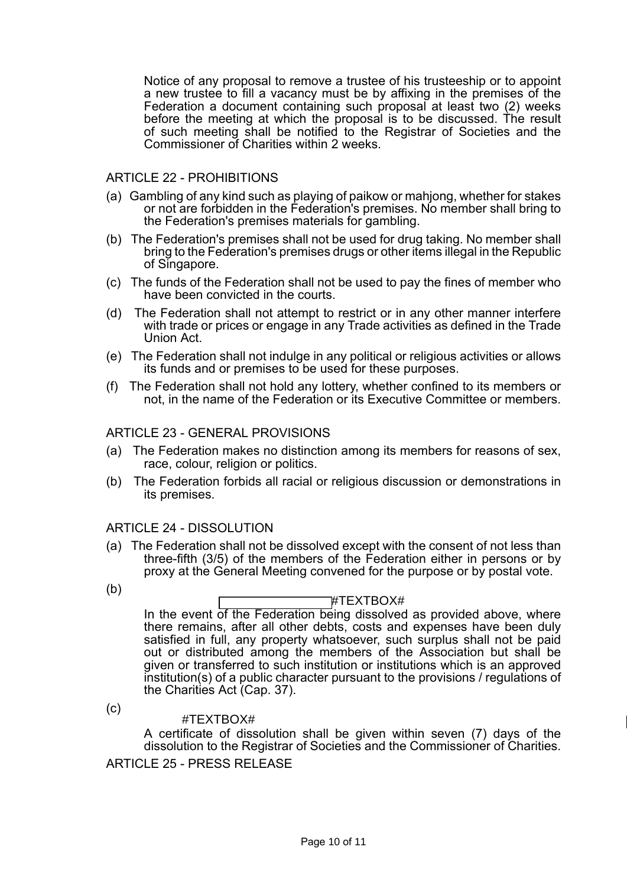Notice of any proposal to remove a trustee of his trusteeship or to appoint a new trustee to fill a vacancy must be by affixing in the premises of the Federation a document containing such proposal at least two (2) weeks before the meeting at which the proposal is to be discussed. The result of such meeting shall be notified to the Registrar of Societies and the Commissioner of Charities within 2 weeks.

## ARTICLE 22 - PROHIBITIONS

- (a) Gambling of any kind such as playing of paikow or mahjong, whether for stakes or not are forbidden in the Federation's premises. No member shall bring to the Federation's premises materials for gambling.
- (b) The Federation's premises shall not be used for drug taking. No member shall bring to the Federation's premises drugs or other items illegal in the Republic of Singapore.
- (c) The funds of the Federation shall not be used to pay the fines of member who have been convicted in the courts.
- (d) The Federation shall not attempt to restrict or in any other manner interfere with trade or prices or engage in any Trade activities as defined in the Trade Union Act.
- (e) The Federation shall not indulge in any political or religious activities or allows its funds and or premises to be used for these purposes.
- (f) The Federation shall not hold any lottery, whether confined to its members or not, in the name of the Federation or its Executive Committee or members.

## ARTICLE 23 - GENERAL PROVISIONS

- (a) The Federation makes no distinction among its members for reasons of sex, race, colour, religion or politics.
- (b) The Federation forbids all racial or religious discussion or demonstrations in its premises.

### ARTICLE 24 - DISSOLUTION

(a) The Federation shall not be dissolved except with the consent of not less than three-fifth (3/5) of the members of the Federation either in persons or by proxy at the General Meeting convened for the purpose or by postal vote.

(b)

### #TEXTBOX#

In the event of the Federation being dissolved as provided above, where there remains, after all other debts, costs and expenses have been duly satisfied in full, any property whatsoever, such surplus shall not be paid out or distributed among the members of the Association but shall be given or transferred to such institution or institutions which is an approved institution(s) of a public character pursuant to the provisions / regulations of the Charities Act (Cap. 37).

(c)

#### #TEXTBOX#

A certificate of dissolution shall be given within seven (7) days of the dissolution to the Registrar of Societies and the Commissioner of Charities.

ARTICLE 25 - PRESS RELEASE